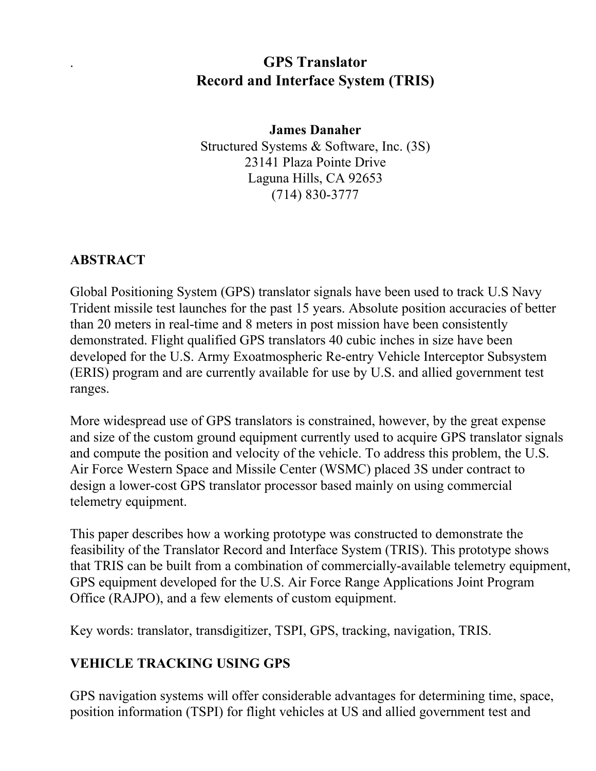## . **GPS Translator Record and Interface System (TRIS)**

#### **James Danaher** Structured Systems & Software, Inc. (3S) 23141 Plaza Pointe Drive Laguna Hills, CA 92653 (714) 830-3777

#### **ABSTRACT**

Global Positioning System (GPS) translator signals have been used to track U.S Navy Trident missile test launches for the past 15 years. Absolute position accuracies of better than 20 meters in real-time and 8 meters in post mission have been consistently demonstrated. Flight qualified GPS translators 40 cubic inches in size have been developed for the U.S. Army Exoatmospheric Re-entry Vehicle Interceptor Subsystem (ERIS) program and are currently available for use by U.S. and allied government test ranges.

More widespread use of GPS translators is constrained, however, by the great expense and size of the custom ground equipment currently used to acquire GPS translator signals and compute the position and velocity of the vehicle. To address this problem, the U.S. Air Force Western Space and Missile Center (WSMC) placed 3S under contract to design a lower-cost GPS translator processor based mainly on using commercial telemetry equipment.

This paper describes how a working prototype was constructed to demonstrate the feasibility of the Translator Record and Interface System (TRIS). This prototype shows that TRIS can be built from a combination of commercially-available telemetry equipment, GPS equipment developed for the U.S. Air Force Range Applications Joint Program Office (RAJPO), and a few elements of custom equipment.

Key words: translator, transdigitizer, TSPI, GPS, tracking, navigation, TRIS.

#### **VEHICLE TRACKING USING GPS**

GPS navigation systems will offer considerable advantages for determining time, space, position information (TSPI) for flight vehicles at US and allied government test and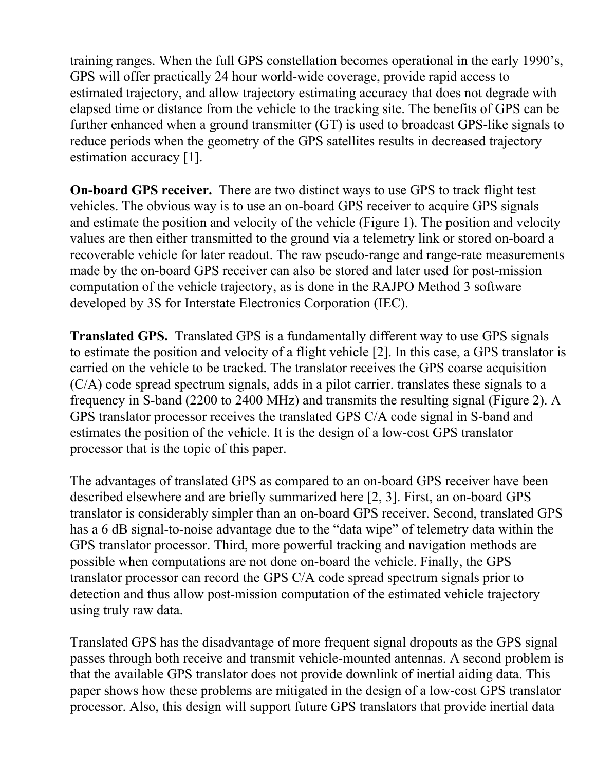training ranges. When the full GPS constellation becomes operational in the early 1990's, GPS will offer practically 24 hour world-wide coverage, provide rapid access to estimated trajectory, and allow trajectory estimating accuracy that does not degrade with elapsed time or distance from the vehicle to the tracking site. The benefits of GPS can be further enhanced when a ground transmitter (GT) is used to broadcast GPS-like signals to reduce periods when the geometry of the GPS satellites results in decreased trajectory estimation accuracy [1].

**On-board GPS receiver.** There are two distinct ways to use GPS to track flight test vehicles. The obvious way is to use an on-board GPS receiver to acquire GPS signals and estimate the position and velocity of the vehicle (Figure 1). The position and velocity values are then either transmitted to the ground via a telemetry link or stored on-board a recoverable vehicle for later readout. The raw pseudo-range and range-rate measurements made by the on-board GPS receiver can also be stored and later used for post-mission computation of the vehicle trajectory, as is done in the RAJPO Method 3 software developed by 3S for Interstate Electronics Corporation (IEC).

**Translated GPS.** Translated GPS is a fundamentally different way to use GPS signals to estimate the position and velocity of a flight vehicle [2]. In this case, a GPS translator is carried on the vehicle to be tracked. The translator receives the GPS coarse acquisition (C/A) code spread spectrum signals, adds in a pilot carrier. translates these signals to a frequency in S-band (2200 to 2400 MHz) and transmits the resulting signal (Figure 2). A GPS translator processor receives the translated GPS C/A code signal in S-band and estimates the position of the vehicle. It is the design of a low-cost GPS translator processor that is the topic of this paper.

The advantages of translated GPS as compared to an on-board GPS receiver have been described elsewhere and are briefly summarized here [2, 3]. First, an on-board GPS translator is considerably simpler than an on-board GPS receiver. Second, translated GPS has a 6 dB signal-to-noise advantage due to the "data wipe" of telemetry data within the GPS translator processor. Third, more powerful tracking and navigation methods are possible when computations are not done on-board the vehicle. Finally, the GPS translator processor can record the GPS C/A code spread spectrum signals prior to detection and thus allow post-mission computation of the estimated vehicle trajectory using truly raw data.

Translated GPS has the disadvantage of more frequent signal dropouts as the GPS signal passes through both receive and transmit vehicle-mounted antennas. A second problem is that the available GPS translator does not provide downlink of inertial aiding data. This paper shows how these problems are mitigated in the design of a low-cost GPS translator processor. Also, this design will support future GPS translators that provide inertial data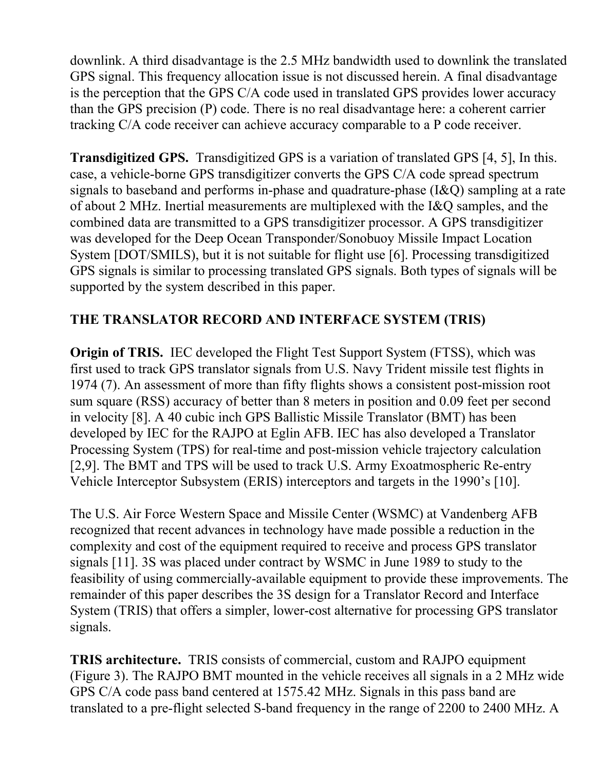downlink. A third disadvantage is the 2.5 MHz bandwidth used to downlink the translated GPS signal. This frequency allocation issue is not discussed herein. A final disadvantage is the perception that the GPS C/A code used in translated GPS provides lower accuracy than the GPS precision (P) code. There is no real disadvantage here: a coherent carrier tracking C/A code receiver can achieve accuracy comparable to a P code receiver.

**Transdigitized GPS.** Transdigitized GPS is a variation of translated GPS [4, 5], In this. case, a vehicle-borne GPS transdigitizer converts the GPS C/A code spread spectrum signals to baseband and performs in-phase and quadrature-phase (I&Q) sampling at a rate of about 2 MHz. Inertial measurements are multiplexed with the I&Q samples, and the combined data are transmitted to a GPS transdigitizer processor. A GPS transdigitizer was developed for the Deep Ocean Transponder/Sonobuoy Missile Impact Location System [DOT/SMILS), but it is not suitable for flight use [6]. Processing transdigitized GPS signals is similar to processing translated GPS signals. Both types of signals will be supported by the system described in this paper.

#### **THE TRANSLATOR RECORD AND INTERFACE SYSTEM (TRIS)**

**Origin of TRIS.** IEC developed the Flight Test Support System (FTSS), which was first used to track GPS translator signals from U.S. Navy Trident missile test flights in 1974 (7). An assessment of more than fifty flights shows a consistent post-mission root sum square (RSS) accuracy of better than 8 meters in position and 0.09 feet per second in velocity [8]. A 40 cubic inch GPS Ballistic Missile Translator (BMT) has been developed by IEC for the RAJPO at Eglin AFB. IEC has also developed a Translator Processing System (TPS) for real-time and post-mission vehicle trajectory calculation [2,9]. The BMT and TPS will be used to track U.S. Army Exoatmospheric Re-entry Vehicle Interceptor Subsystem (ERIS) interceptors and targets in the 1990's [10].

The U.S. Air Force Western Space and Missile Center (WSMC) at Vandenberg AFB recognized that recent advances in technology have made possible a reduction in the complexity and cost of the equipment required to receive and process GPS translator signals [11]. 3S was placed under contract by WSMC in June 1989 to study to the feasibility of using commercially-available equipment to provide these improvements. The remainder of this paper describes the 3S design for a Translator Record and Interface System (TRIS) that offers a simpler, lower-cost alternative for processing GPS translator signals.

**TRIS architecture.** TRIS consists of commercial, custom and RAJPO equipment (Figure 3). The RAJPO BMT mounted in the vehicle receives all signals in a 2 MHz wide GPS C/A code pass band centered at 1575.42 MHz. Signals in this pass band are translated to a pre-flight selected S-band frequency in the range of 2200 to 2400 MHz. A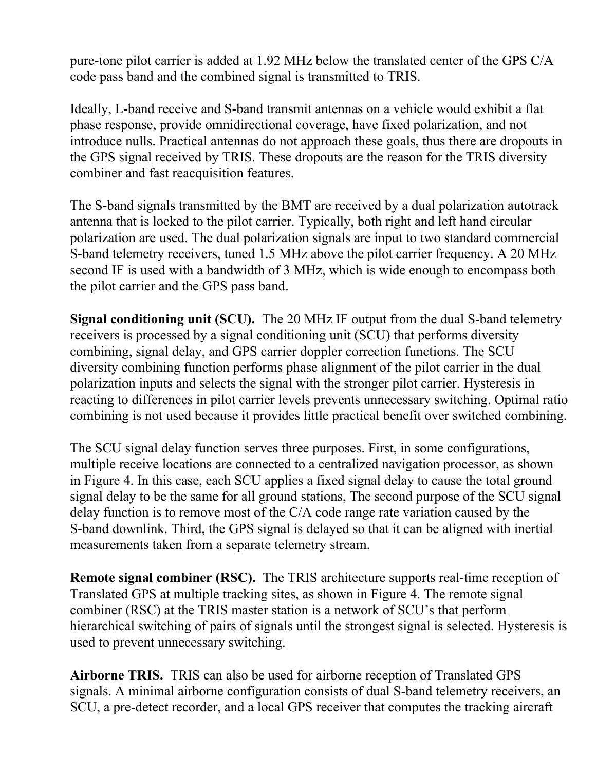pure-tone pilot carrier is added at 1.92 MHz below the translated center of the GPS C/A code pass band and the combined signal is transmitted to TRIS.

Ideally, L-band receive and S-band transmit antennas on a vehicle would exhibit a flat phase response, provide omnidirectional coverage, have fixed polarization, and not introduce nulls. Practical antennas do not approach these goals, thus there are dropouts in the GPS signal received by TRIS. These dropouts are the reason for the TRIS diversity combiner and fast reacquisition features.

The S-band signals transmitted by the BMT are received by a dual polarization autotrack antenna that is locked to the pilot carrier. Typically, both right and left hand circular polarization are used. The dual polarization signals are input to two standard commercial S-band telemetry receivers, tuned 1.5 MHz above the pilot carrier frequency. A 20 MHz second IF is used with a bandwidth of 3 MHz, which is wide enough to encompass both the pilot carrier and the GPS pass band.

**Signal conditioning unit (SCU).** The 20 MHz IF output from the dual S-band telemetry receivers is processed by a signal conditioning unit (SCU) that performs diversity combining, signal delay, and GPS carrier doppler correction functions. The SCU diversity combining function performs phase alignment of the pilot carrier in the dual polarization inputs and selects the signal with the stronger pilot carrier. Hysteresis in reacting to differences in pilot carrier levels prevents unnecessary switching. Optimal ratio combining is not used because it provides little practical benefit over switched combining.

The SCU signal delay function serves three purposes. First, in some configurations, multiple receive locations are connected to a centralized navigation processor, as shown in Figure 4. In this case, each SCU applies a fixed signal delay to cause the total ground signal delay to be the same for all ground stations, The second purpose of the SCU signal delay function is to remove most of the C/A code range rate variation caused by the S-band downlink. Third, the GPS signal is delayed so that it can be aligned with inertial measurements taken from a separate telemetry stream.

**Remote signal combiner (RSC).** The TRIS architecture supports real-time reception of Translated GPS at multiple tracking sites, as shown in Figure 4. The remote signal combiner (RSC) at the TRIS master station is a network of SCU's that perform hierarchical switching of pairs of signals until the strongest signal is selected. Hysteresis is used to prevent unnecessary switching.

**Airborne TRIS.** TRIS can also be used for airborne reception of Translated GPS signals. A minimal airborne configuration consists of dual S-band telemetry receivers, an SCU, a pre-detect recorder, and a local GPS receiver that computes the tracking aircraft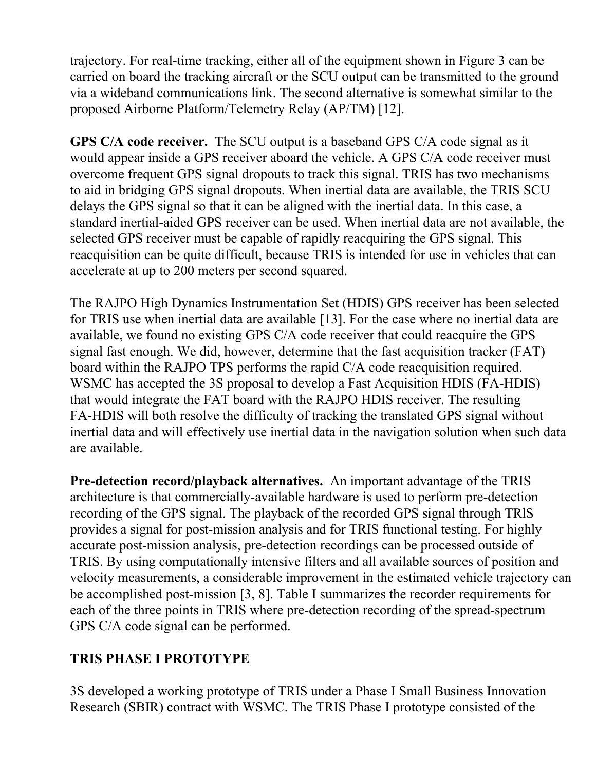trajectory. For real-time tracking, either all of the equipment shown in Figure 3 can be carried on board the tracking aircraft or the SCU output can be transmitted to the ground via a wideband communications link. The second alternative is somewhat similar to the proposed Airborne Platform/Telemetry Relay (AP/TM) [12].

**GPS C/A code receiver.** The SCU output is a baseband GPS C/A code signal as it would appear inside a GPS receiver aboard the vehicle. A GPS C/A code receiver must overcome frequent GPS signal dropouts to track this signal. TRIS has two mechanisms to aid in bridging GPS signal dropouts. When inertial data are available, the TRIS SCU delays the GPS signal so that it can be aligned with the inertial data. In this case, a standard inertial-aided GPS receiver can be used. When inertial data are not available, the selected GPS receiver must be capable of rapidly reacquiring the GPS signal. This reacquisition can be quite difficult, because TRIS is intended for use in vehicles that can accelerate at up to 200 meters per second squared.

The RAJPO High Dynamics Instrumentation Set (HDIS) GPS receiver has been selected for TRIS use when inertial data are available [13]. For the case where no inertial data are available, we found no existing GPS C/A code receiver that could reacquire the GPS signal fast enough. We did, however, determine that the fast acquisition tracker (FAT) board within the RAJPO TPS performs the rapid C/A code reacquisition required. WSMC has accepted the 3S proposal to develop a Fast Acquisition HDIS (FA-HDIS) that would integrate the FAT board with the RAJPO HDIS receiver. The resulting FA-HDIS will both resolve the difficulty of tracking the translated GPS signal without inertial data and will effectively use inertial data in the navigation solution when such data are available.

**Pre-detection record/playback alternatives.** An important advantage of the TRIS architecture is that commercially-available hardware is used to perform pre-detection recording of the GPS signal. The playback of the recorded GPS signal through TRlS provides a signal for post-mission analysis and for TRIS functional testing. For highly accurate post-mission analysis, pre-detection recordings can be processed outside of TRIS. By using computationally intensive filters and all available sources of position and velocity measurements, a considerable improvement in the estimated vehicle trajectory can be accomplished post-mission [3, 8]. Table I summarizes the recorder requirements for each of the three points in TRIS where pre-detection recording of the spread-spectrum GPS C/A code signal can be performed.

#### **TRIS PHASE I PROTOTYPE**

3S developed a working prototype of TRIS under a Phase I Small Business Innovation Research (SBIR) contract with WSMC. The TRIS Phase I prototype consisted of the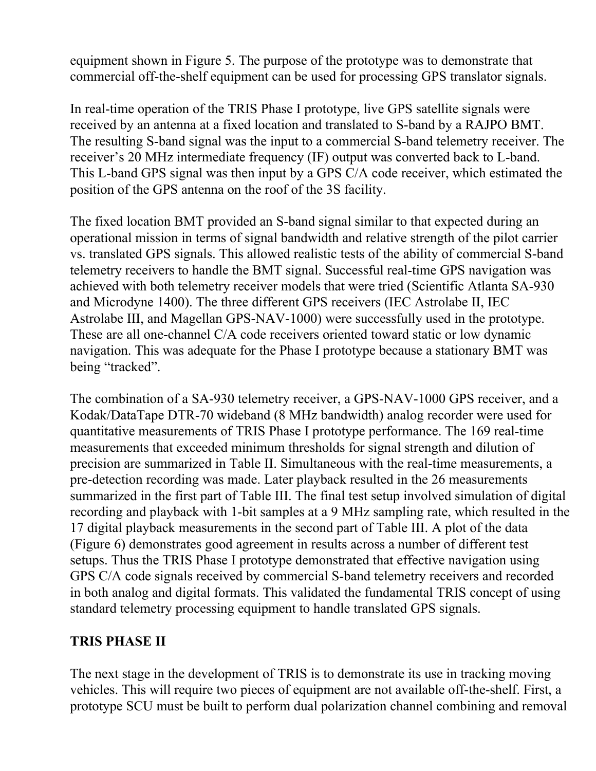equipment shown in Figure 5. The purpose of the prototype was to demonstrate that commercial off-the-shelf equipment can be used for processing GPS translator signals.

In real-time operation of the TRIS Phase I prototype, live GPS satellite signals were received by an antenna at a fixed location and translated to S-band by a RAJPO BMT. The resulting S-band signal was the input to a commercial S-band telemetry receiver. The receiver's 20 MHz intermediate frequency (IF) output was converted back to L-band. This L-band GPS signal was then input by a GPS C/A code receiver, which estimated the position of the GPS antenna on the roof of the 3S facility.

The fixed location BMT provided an S-band signal similar to that expected during an operational mission in terms of signal bandwidth and relative strength of the pilot carrier vs. translated GPS signals. This allowed realistic tests of the ability of commercial S-band telemetry receivers to handle the BMT signal. Successful real-time GPS navigation was achieved with both telemetry receiver models that were tried (Scientific Atlanta SA-930 and Microdyne 1400). The three different GPS receivers (IEC Astrolabe II, IEC Astrolabe III, and Magellan GPS-NAV-1000) were successfully used in the prototype. These are all one-channel C/A code receivers oriented toward static or low dynamic navigation. This was adequate for the Phase I prototype because a stationary BMT was being "tracked".

The combination of a SA-930 telemetry receiver, a GPS-NAV-1000 GPS receiver, and a Kodak/DataTape DTR-70 wideband (8 MHz bandwidth) analog recorder were used for quantitative measurements of TRIS Phase I prototype performance. The 169 real-time measurements that exceeded minimum thresholds for signal strength and dilution of precision are summarized in Table II. Simultaneous with the real-time measurements, a pre-detection recording was made. Later playback resulted in the 26 measurements summarized in the first part of Table III. The final test setup involved simulation of digital recording and playback with 1-bit samples at a 9 MHz sampling rate, which resulted in the 17 digital playback measurements in the second part of Table III. A plot of the data (Figure 6) demonstrates good agreement in results across a number of different test setups. Thus the TRIS Phase I prototype demonstrated that effective navigation using GPS C/A code signals received by commercial S-band telemetry receivers and recorded in both analog and digital formats. This validated the fundamental TRIS concept of using standard telemetry processing equipment to handle translated GPS signals.

#### **TRIS PHASE II**

The next stage in the development of TRIS is to demonstrate its use in tracking moving vehicles. This will require two pieces of equipment are not available off-the-shelf. First, a prototype SCU must be built to perform dual polarization channel combining and removal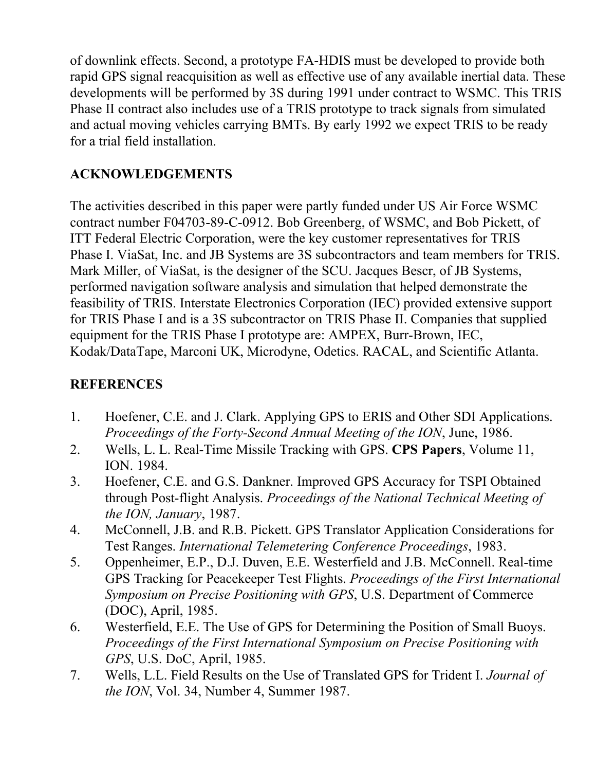of downlink effects. Second, a prototype FA-HDIS must be developed to provide both rapid GPS signal reacquisition as well as effective use of any available inertial data. These developments will be performed by 3S during 1991 under contract to WSMC. This TRIS Phase II contract also includes use of a TRIS prototype to track signals from simulated and actual moving vehicles carrying BMTs. By early 1992 we expect TRIS to be ready for a trial field installation.

### **ACKNOWLEDGEMENTS**

The activities described in this paper were partly funded under US Air Force WSMC contract number F04703-89-C-0912. Bob Greenberg, of WSMC, and Bob Pickett, of ITT Federal Electric Corporation, were the key customer representatives for TRIS Phase I. ViaSat, Inc. and JB Systems are 3S subcontractors and team members for TRIS. Mark Miller, of ViaSat, is the designer of the SCU. Jacques Bescr, of JB Systems, performed navigation software analysis and simulation that helped demonstrate the feasibility of TRIS. Interstate Electronics Corporation (IEC) provided extensive support for TRIS Phase I and is a 3S subcontractor on TRIS Phase II. Companies that supplied equipment for the TRIS Phase I prototype are: AMPEX, Burr-Brown, IEC, Kodak/DataTape, Marconi UK, Microdyne, Odetics. RACAL, and Scientific Atlanta.

#### **REFERENCES**

- 1. Hoefener, C.E. and J. Clark. Applying GPS to ERIS and Other SDI Applications. *Proceedings of the Forty-Second Annual Meeting of the ION*, June, 1986.
- 2. Wells, L. L. Real-Time Missile Tracking with GPS. **CPS Papers**, Volume 11, ION. 1984.
- 3. Hoefener, C.E. and G.S. Dankner. Improved GPS Accuracy for TSPI Obtained through Post-flight Analysis. *Proceedings of the National Technical Meeting of the ION, January*, 1987.
- 4. McConnell, J.B. and R.B. Pickett. GPS Translator Application Considerations for Test Ranges. *International Telemetering Conference Proceedings*, 1983.
- 5. Oppenheimer, E.P., D.J. Duven, E.E. Westerfield and J.B. McConnell. Real-time GPS Tracking for Peacekeeper Test Flights. *Proceedings of the First International Symposium on Precise Positioning with GPS*, U.S. Department of Commerce (DOC), April, 1985.
- 6. Westerfield, E.E. The Use of GPS for Determining the Position of Small Buoys. *Proceedings of the First International Symposium on Precise Positioning with GPS*, U.S. DoC, April, 1985.
- 7. Wells, L.L. Field Results on the Use of Translated GPS for Trident I. *Journal of the ION*, Vol. 34, Number 4, Summer 1987.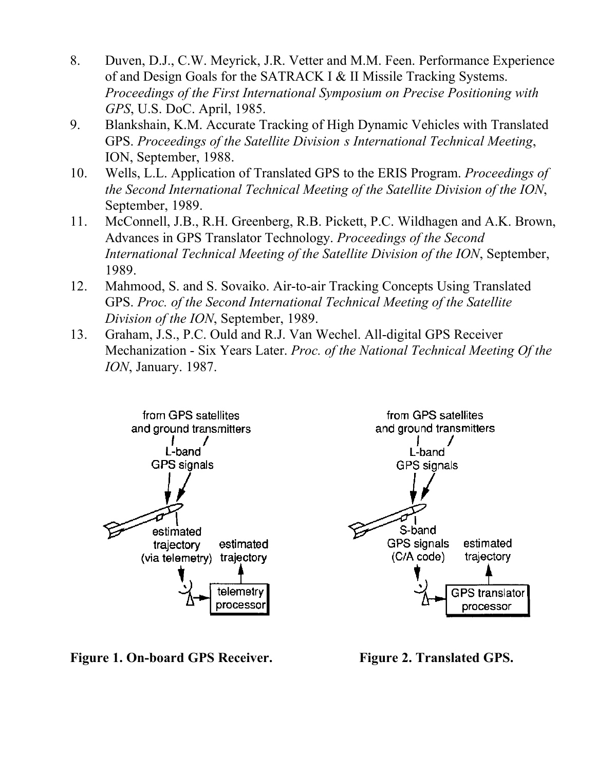- 8. Duven, D.J., C.W. Meyrick, J.R. Vetter and M.M. Feen. Performance Experience of and Design Goals for the SATRACK I & II Missile Tracking Systems. *Proceedings of the First International Symposium on Precise Positioning with GPS*, U.S. DoC. April, 1985.
- 9. Blankshain, K.M. Accurate Tracking of High Dynamic Vehicles with Translated GPS. *Proceedings of the Satellite Division's International Technical Meeting*, ION, September, 1988.
- 10. Wells, L.L. Application of Translated GPS to the ERIS Program. *Proceedings of the Second International Technical Meeting of the Satellite Division of the ION*, September, 1989.
- 11. McConnell, J.B., R.H. Greenberg, R.B. Pickett, P.C. Wildhagen and A.K. Brown, Advances in GPS Translator Technology. *Proceedings of the Second International Technical Meeting of the Satellite Division of the ION*, September, 1989.
- 12. Mahmood, S. and S. Sovaiko. Air-to-air Tracking Concepts Using Translated GPS. *Proc. of the Second International Technical Meeting of the Satellite Division of the ION*, September, 1989.
- 13. Graham, J.S., P.C. Ould and R.J. Van Wechel. All-digital GPS Receiver Mechanization - Six Years Later. *Proc. of the National Technical Meeting Of the ION*, January. 1987.



**Figure 1. On-board GPS Receiver. Figure 2. Translated GPS.**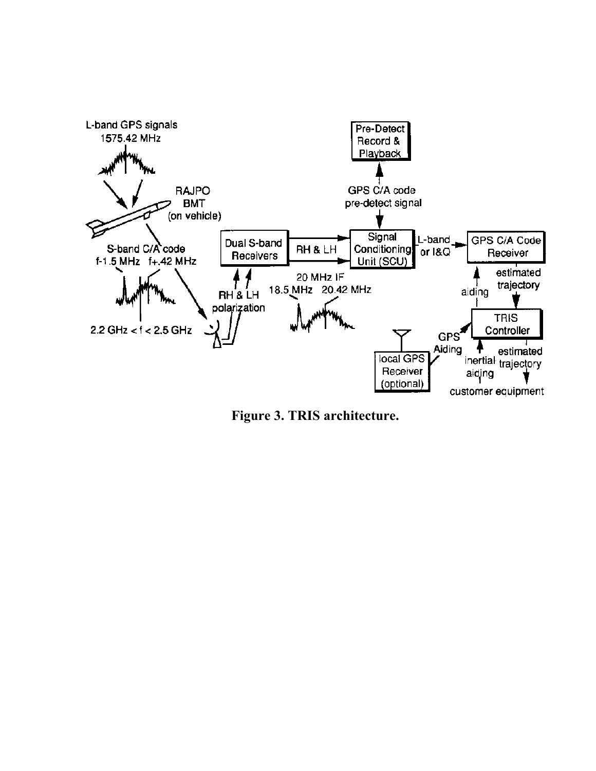

**Figure 3. TRIS architecture.**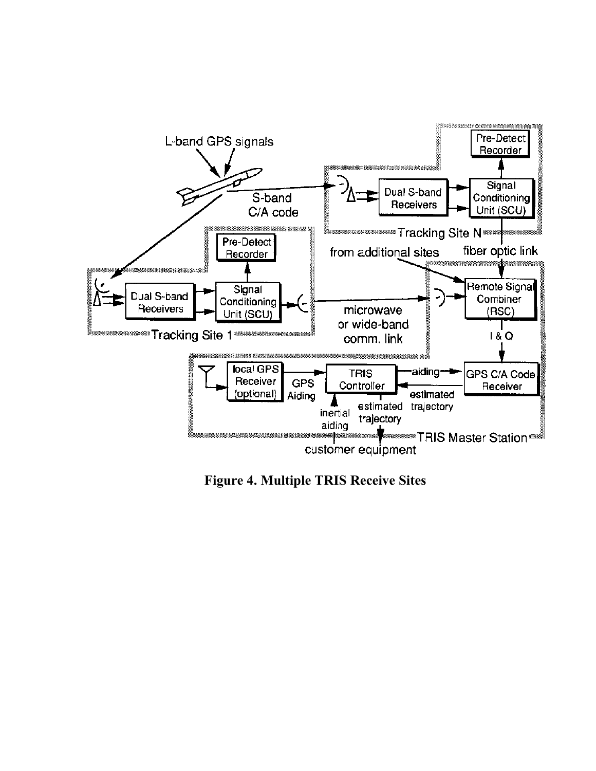

**Figure 4. Multiple TRIS Receive Sites**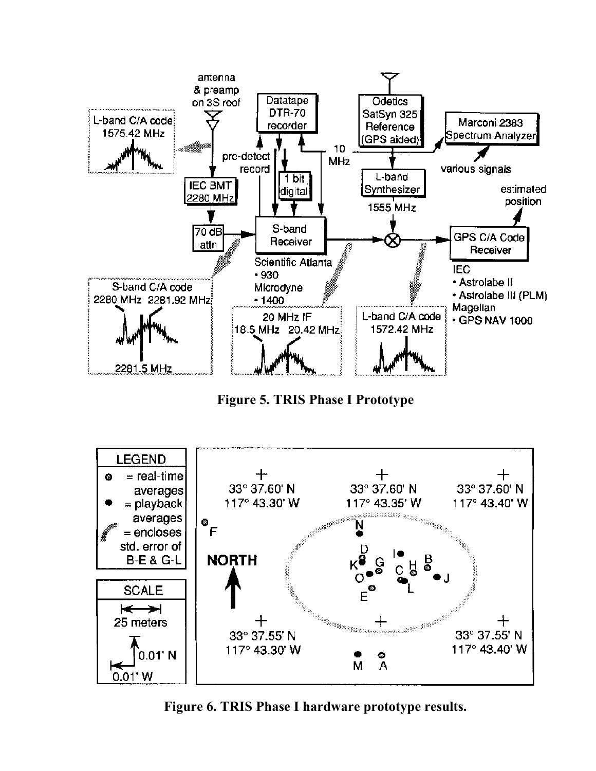

**Figure 5. TRIS Phase I Prototype**



**Figure 6. TRIS Phase I hardware prototype results.**